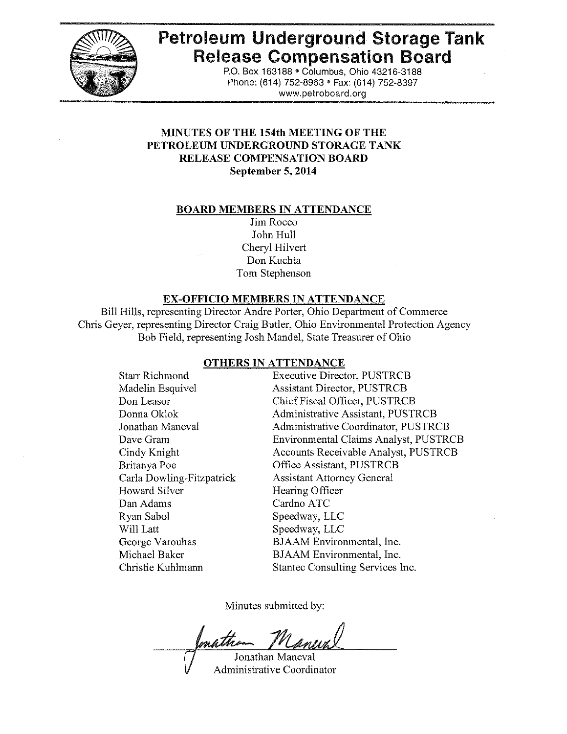

# Petroleum Underground Storage Tank Release Compensation Board

P,O. Box 163188 • Columbus, Ohio 43216-3188 Phone: (614) 752-8963 · Fax: (614) 752-8397 www,petroboard,org

## MINUTES OF THE 154th MEETING OF THE PETROLEUM UNDERGROUND STORAGE TANK RELEASE COMPENSATION BOARD September 5, 2014

#### BOARD MEMBERS IN ATTENDANCE

Jim Rocco John Hull Cheryl Hilvert Don Kuchta Tom Stephenson

#### EX-OFFICIO MEMBERS IN ATTENDANCE

Bill Hills, representing Director Andre Porter, Ohio Department of Commerce Chris Geyer, representing Director Craig Butler, Ohio Environmental Protection Agency Bob Field, representing Josh Mandel, State Treasurer of Ohio

#### OTHERS IN ATTENDANCE

Executive Director, PUSTRCB Assistant Director, PUSTRCB ChiefFiscal Officer, PUSTRCB Administrative Assistant, PUSTRCB Administrative Coordinator, PUSTRCB Environmental Claims Analyst, PUSTRCB Accounts Receivable Analyst, PUSTRCB Office Assistant, PUSTRCB Assistant Attorney General Hearing Officer Cardno ATC Speedway, LLC Speedway, LLC BJAAM Environmental, Inc, BJAAM Environmental, Inc. Stantec Consulting Services Inc. Starr Richmond Madelin Esquivel Don Leasor DonnaOklok Jonathan Maneval Dave Gram Cindy Knight Britanya Poe Carla Dowling-Fitzpatrick Howard Silver Dan Adams Ryan Sabol Will Latt George Varouhas Michael Baker Christie Kuhlmann

Minutes submitted by:

mathia Jonathan Maneval

Administrative Coordinator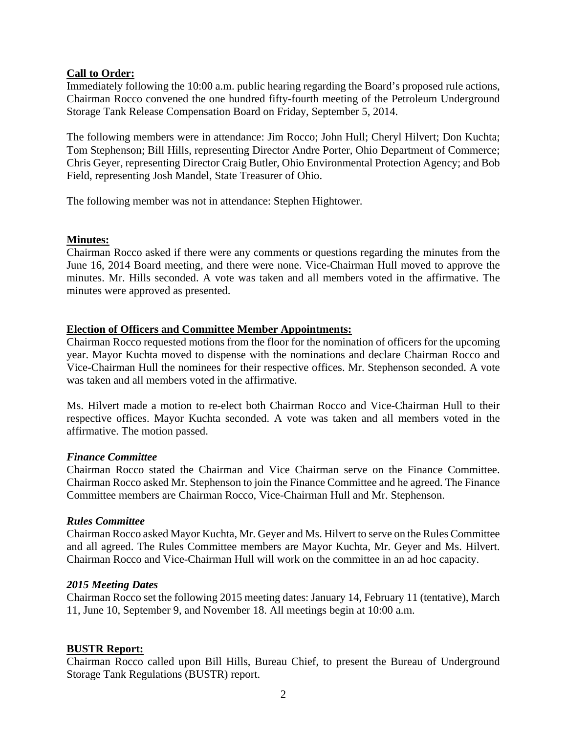## **Call to Order:**

Immediately following the 10:00 a.m. public hearing regarding the Board's proposed rule actions, Chairman Rocco convened the one hundred fifty-fourth meeting of the Petroleum Underground Storage Tank Release Compensation Board on Friday, September 5, 2014.

The following members were in attendance: Jim Rocco; John Hull; Cheryl Hilvert; Don Kuchta; Tom Stephenson; Bill Hills, representing Director Andre Porter, Ohio Department of Commerce; Chris Geyer, representing Director Craig Butler, Ohio Environmental Protection Agency; and Bob Field, representing Josh Mandel, State Treasurer of Ohio.

The following member was not in attendance: Stephen Hightower.

### **Minutes:**

Chairman Rocco asked if there were any comments or questions regarding the minutes from the June 16, 2014 Board meeting, and there were none. Vice-Chairman Hull moved to approve the minutes. Mr. Hills seconded. A vote was taken and all members voted in the affirmative. The minutes were approved as presented.

### **Election of Officers and Committee Member Appointments:**

Chairman Rocco requested motions from the floor for the nomination of officers for the upcoming year. Mayor Kuchta moved to dispense with the nominations and declare Chairman Rocco and Vice-Chairman Hull the nominees for their respective offices. Mr. Stephenson seconded. A vote was taken and all members voted in the affirmative.

Ms. Hilvert made a motion to re-elect both Chairman Rocco and Vice-Chairman Hull to their respective offices. Mayor Kuchta seconded. A vote was taken and all members voted in the affirmative. The motion passed.

### *Finance Committee*

Chairman Rocco stated the Chairman and Vice Chairman serve on the Finance Committee. Chairman Rocco asked Mr. Stephenson to join the Finance Committee and he agreed. The Finance Committee members are Chairman Rocco, Vice-Chairman Hull and Mr. Stephenson.

### *Rules Committee*

Chairman Rocco asked Mayor Kuchta, Mr. Geyer and Ms. Hilvert to serve on the Rules Committee and all agreed. The Rules Committee members are Mayor Kuchta, Mr. Geyer and Ms. Hilvert. Chairman Rocco and Vice-Chairman Hull will work on the committee in an ad hoc capacity.

### *2015 Meeting Dates*

Chairman Rocco set the following 2015 meeting dates: January 14, February 11 (tentative), March 11, June 10, September 9, and November 18. All meetings begin at 10:00 a.m.

### **BUSTR Report:**

Chairman Rocco called upon Bill Hills, Bureau Chief, to present the Bureau of Underground Storage Tank Regulations (BUSTR) report.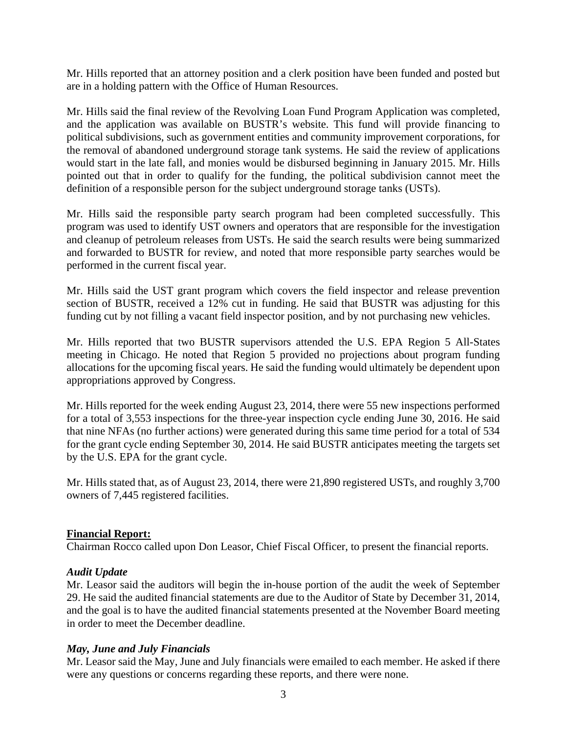Mr. Hills reported that an attorney position and a clerk position have been funded and posted but are in a holding pattern with the Office of Human Resources.

Mr. Hills said the final review of the Revolving Loan Fund Program Application was completed, and the application was available on BUSTR's website. This fund will provide financing to political subdivisions, such as government entities and community improvement corporations, for the removal of abandoned underground storage tank systems. He said the review of applications would start in the late fall, and monies would be disbursed beginning in January 2015. Mr. Hills pointed out that in order to qualify for the funding, the political subdivision cannot meet the definition of a responsible person for the subject underground storage tanks (USTs).

Mr. Hills said the responsible party search program had been completed successfully. This program was used to identify UST owners and operators that are responsible for the investigation and cleanup of petroleum releases from USTs. He said the search results were being summarized and forwarded to BUSTR for review, and noted that more responsible party searches would be performed in the current fiscal year.

Mr. Hills said the UST grant program which covers the field inspector and release prevention section of BUSTR, received a 12% cut in funding. He said that BUSTR was adjusting for this funding cut by not filling a vacant field inspector position, and by not purchasing new vehicles.

Mr. Hills reported that two BUSTR supervisors attended the U.S. EPA Region 5 All-States meeting in Chicago. He noted that Region 5 provided no projections about program funding allocations for the upcoming fiscal years. He said the funding would ultimately be dependent upon appropriations approved by Congress.

Mr. Hills reported for the week ending August 23, 2014, there were 55 new inspections performed for a total of 3,553 inspections for the three-year inspection cycle ending June 30, 2016. He said that nine NFAs (no further actions) were generated during this same time period for a total of 534 for the grant cycle ending September 30, 2014. He said BUSTR anticipates meeting the targets set by the U.S. EPA for the grant cycle.

Mr. Hills stated that, as of August 23, 2014, there were 21,890 registered USTs, and roughly 3,700 owners of 7,445 registered facilities.

### **Financial Report:**

Chairman Rocco called upon Don Leasor, Chief Fiscal Officer, to present the financial reports.

# *Audit Update*

Mr. Leasor said the auditors will begin the in-house portion of the audit the week of September 29. He said the audited financial statements are due to the Auditor of State by December 31, 2014, and the goal is to have the audited financial statements presented at the November Board meeting in order to meet the December deadline.

### *May, June and July Financials*

Mr. Leasor said the May, June and July financials were emailed to each member. He asked if there were any questions or concerns regarding these reports, and there were none.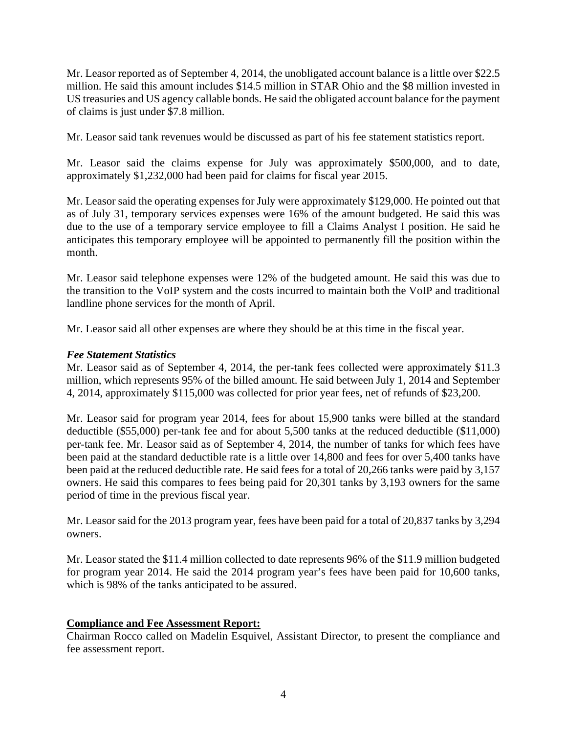Mr. Leasor reported as of September 4, 2014, the unobligated account balance is a little over \$22.5 million. He said this amount includes \$14.5 million in STAR Ohio and the \$8 million invested in US treasuries and US agency callable bonds. He said the obligated account balance for the payment of claims is just under \$7.8 million.

Mr. Leasor said tank revenues would be discussed as part of his fee statement statistics report.

Mr. Leasor said the claims expense for July was approximately \$500,000, and to date, approximately \$1,232,000 had been paid for claims for fiscal year 2015.

Mr. Leasor said the operating expenses for July were approximately \$129,000. He pointed out that as of July 31, temporary services expenses were 16% of the amount budgeted. He said this was due to the use of a temporary service employee to fill a Claims Analyst I position. He said he anticipates this temporary employee will be appointed to permanently fill the position within the month.

Mr. Leasor said telephone expenses were 12% of the budgeted amount. He said this was due to the transition to the VoIP system and the costs incurred to maintain both the VoIP and traditional landline phone services for the month of April.

Mr. Leasor said all other expenses are where they should be at this time in the fiscal year.

### *Fee Statement Statistics*

Mr. Leasor said as of September 4, 2014, the per-tank fees collected were approximately \$11.3 million, which represents 95% of the billed amount. He said between July 1, 2014 and September 4, 2014, approximately \$115,000 was collected for prior year fees, net of refunds of \$23,200.

Mr. Leasor said for program year 2014, fees for about 15,900 tanks were billed at the standard deductible (\$55,000) per-tank fee and for about 5,500 tanks at the reduced deductible (\$11,000) per-tank fee. Mr. Leasor said as of September 4, 2014, the number of tanks for which fees have been paid at the standard deductible rate is a little over 14,800 and fees for over 5,400 tanks have been paid at the reduced deductible rate. He said fees for a total of 20,266 tanks were paid by 3,157 owners. He said this compares to fees being paid for 20,301 tanks by 3,193 owners for the same period of time in the previous fiscal year.

Mr. Leasor said for the 2013 program year, fees have been paid for a total of 20,837 tanks by 3,294 owners.

Mr. Leasor stated the \$11.4 million collected to date represents 96% of the \$11.9 million budgeted for program year 2014. He said the 2014 program year's fees have been paid for 10,600 tanks, which is 98% of the tanks anticipated to be assured.

# **Compliance and Fee Assessment Report:**

Chairman Rocco called on Madelin Esquivel, Assistant Director, to present the compliance and fee assessment report.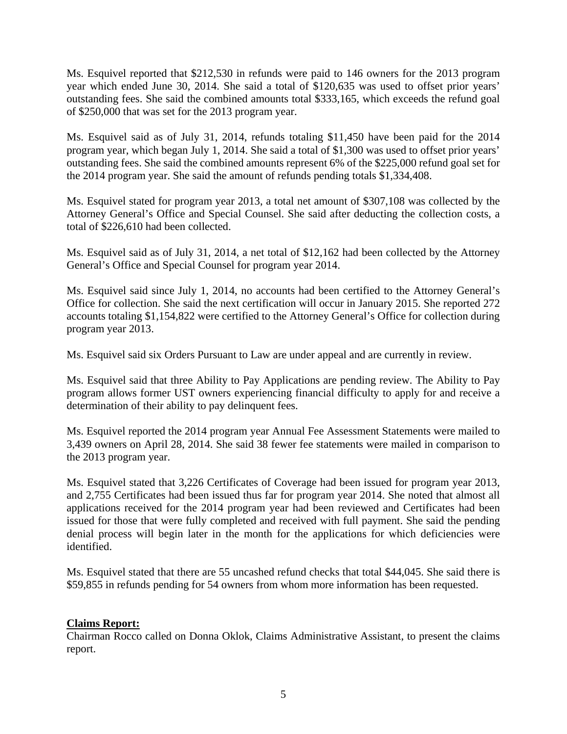Ms. Esquivel reported that \$212,530 in refunds were paid to 146 owners for the 2013 program year which ended June 30, 2014. She said a total of \$120,635 was used to offset prior years' outstanding fees. She said the combined amounts total \$333,165, which exceeds the refund goal of \$250,000 that was set for the 2013 program year.

Ms. Esquivel said as of July 31, 2014, refunds totaling \$11,450 have been paid for the 2014 program year, which began July 1, 2014. She said a total of \$1,300 was used to offset prior years' outstanding fees. She said the combined amounts represent 6% of the \$225,000 refund goal set for the 2014 program year. She said the amount of refunds pending totals \$1,334,408.

Ms. Esquivel stated for program year 2013, a total net amount of \$307,108 was collected by the Attorney General's Office and Special Counsel. She said after deducting the collection costs, a total of \$226,610 had been collected.

Ms. Esquivel said as of July 31, 2014, a net total of \$12,162 had been collected by the Attorney General's Office and Special Counsel for program year 2014.

Ms. Esquivel said since July 1, 2014, no accounts had been certified to the Attorney General's Office for collection. She said the next certification will occur in January 2015. She reported 272 accounts totaling \$1,154,822 were certified to the Attorney General's Office for collection during program year 2013.

Ms. Esquivel said six Orders Pursuant to Law are under appeal and are currently in review.

Ms. Esquivel said that three Ability to Pay Applications are pending review. The Ability to Pay program allows former UST owners experiencing financial difficulty to apply for and receive a determination of their ability to pay delinquent fees.

Ms. Esquivel reported the 2014 program year Annual Fee Assessment Statements were mailed to 3,439 owners on April 28, 2014. She said 38 fewer fee statements were mailed in comparison to the 2013 program year.

Ms. Esquivel stated that 3,226 Certificates of Coverage had been issued for program year 2013, and 2,755 Certificates had been issued thus far for program year 2014. She noted that almost all applications received for the 2014 program year had been reviewed and Certificates had been issued for those that were fully completed and received with full payment. She said the pending denial process will begin later in the month for the applications for which deficiencies were identified.

Ms. Esquivel stated that there are 55 uncashed refund checks that total \$44,045. She said there is \$59,855 in refunds pending for 54 owners from whom more information has been requested.

# **Claims Report:**

Chairman Rocco called on Donna Oklok, Claims Administrative Assistant, to present the claims report.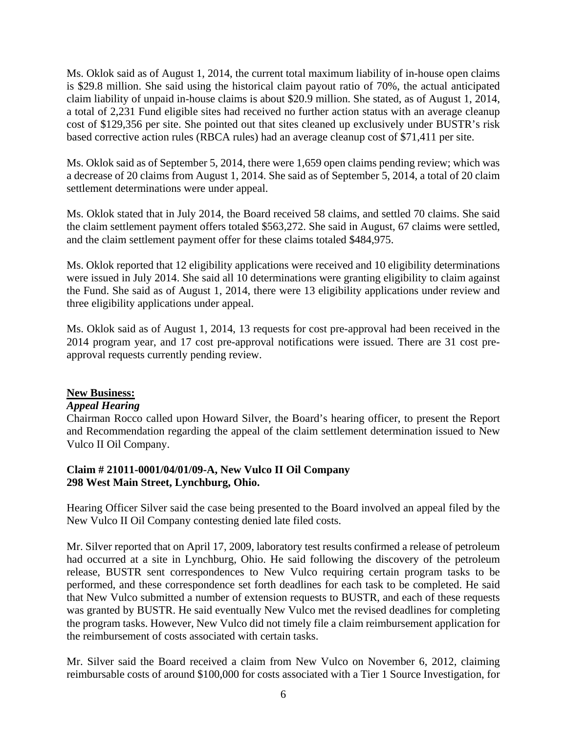Ms. Oklok said as of August 1, 2014, the current total maximum liability of in-house open claims is \$29.8 million. She said using the historical claim payout ratio of 70%, the actual anticipated claim liability of unpaid in-house claims is about \$20.9 million. She stated, as of August 1, 2014, a total of 2,231 Fund eligible sites had received no further action status with an average cleanup cost of \$129,356 per site. She pointed out that sites cleaned up exclusively under BUSTR's risk based corrective action rules (RBCA rules) had an average cleanup cost of \$71,411 per site.

Ms. Oklok said as of September 5, 2014, there were 1,659 open claims pending review; which was a decrease of 20 claims from August 1, 2014. She said as of September 5, 2014, a total of 20 claim settlement determinations were under appeal.

Ms. Oklok stated that in July 2014, the Board received 58 claims, and settled 70 claims. She said the claim settlement payment offers totaled \$563,272. She said in August, 67 claims were settled, and the claim settlement payment offer for these claims totaled \$484,975.

Ms. Oklok reported that 12 eligibility applications were received and 10 eligibility determinations were issued in July 2014. She said all 10 determinations were granting eligibility to claim against the Fund. She said as of August 1, 2014, there were 13 eligibility applications under review and three eligibility applications under appeal.

Ms. Oklok said as of August 1, 2014, 13 requests for cost pre-approval had been received in the 2014 program year, and 17 cost pre-approval notifications were issued. There are 31 cost preapproval requests currently pending review.

# **New Business:**

### *Appeal Hearing*

Chairman Rocco called upon Howard Silver, the Board's hearing officer, to present the Report and Recommendation regarding the appeal of the claim settlement determination issued to New Vulco II Oil Company.

# **Claim # 21011-0001/04/01/09-A, New Vulco II Oil Company 298 West Main Street, Lynchburg, Ohio.**

Hearing Officer Silver said the case being presented to the Board involved an appeal filed by the New Vulco II Oil Company contesting denied late filed costs.

Mr. Silver reported that on April 17, 2009, laboratory test results confirmed a release of petroleum had occurred at a site in Lynchburg, Ohio. He said following the discovery of the petroleum release, BUSTR sent correspondences to New Vulco requiring certain program tasks to be performed, and these correspondence set forth deadlines for each task to be completed. He said that New Vulco submitted a number of extension requests to BUSTR, and each of these requests was granted by BUSTR. He said eventually New Vulco met the revised deadlines for completing the program tasks. However, New Vulco did not timely file a claim reimbursement application for the reimbursement of costs associated with certain tasks.

Mr. Silver said the Board received a claim from New Vulco on November 6, 2012, claiming reimbursable costs of around \$100,000 for costs associated with a Tier 1 Source Investigation, for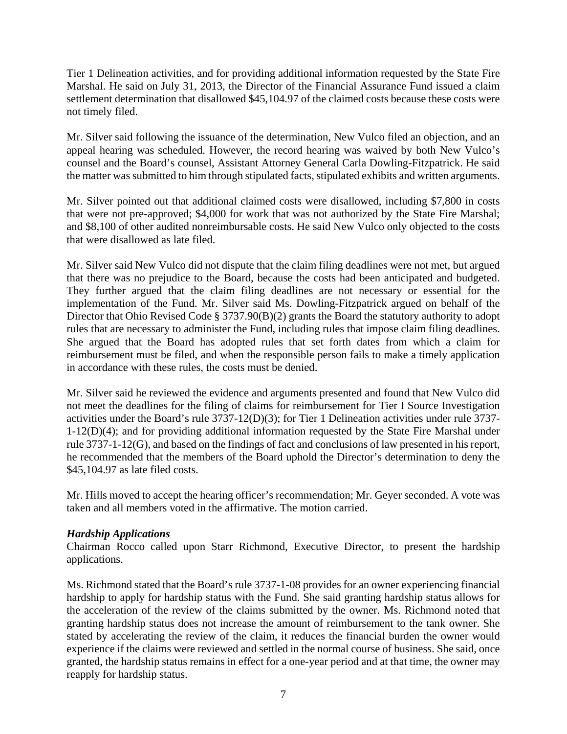Tier 1 Delineation activities, and for providing additional information requested by the State Fire Marshal. He said on July 31, 2013, the Director of the Financial Assurance Fund issued a claim settlement determination that disallowed \$45,104.97 of the claimed costs because these costs were not timely filed.

Mr. Silver said following the issuance of the determination, New Vulco filed an objection, and an appeal hearing was scheduled. However, the record hearing was waived by both New Vulco's counsel and the Board's counsel, Assistant Attorney General Carla Dowling-Fitzpatrick. He said the matter was submitted to him through stipulated facts, stipulated exhibits and written arguments.

Mr. Silver pointed out that additional claimed costs were disallowed, including \$7,800 in costs that were not pre-approved; \$4,000 for work that was not authorized by the State Fire Marshal; and \$8,100 of other audited nonreimbursable costs. He said New Vulco only objected to the costs that were disallowed as late filed.

Mr. Silver said New Vulco did not dispute that the claim filing deadlines were not met, but argued that there was no prejudice to the Board, because the costs had been anticipated and budgeted. They further argued that the claim filing deadlines are not necessary or essential for the implementation of the Fund. Mr. Silver said Ms. Dowling-Fitzpatrick argued on behalf of the Director that Ohio Revised Code § 3737.90(B)(2) grants the Board the statutory authority to adopt rules that are necessary to administer the Fund, including rules that impose claim filing deadlines. She argued that the Board has adopted rules that set forth dates from which a claim for reimbursement must be filed, and when the responsible person fails to make a timely application in accordance with these rules, the costs must be denied.

Mr. Silver said he reviewed the evidence and arguments presented and found that New Vulco did not meet the deadlines for the filing of claims for reimbursement for Tier I Source Investigation activities under the Board's rule 3737-12(D)(3); for Tier 1 Delineation activities under rule 3737- 1-12(D)(4); and for providing additional information requested by the State Fire Marshal under rule 3737-1-12(G), and based on the findings of fact and conclusions of law presented in his report, he recommended that the members of the Board uphold the Director's determination to deny the \$45,104.97 as late filed costs.

Mr. Hills moved to accept the hearing officer's recommendation; Mr. Geyer seconded. A vote was taken and all members voted in the affirmative. The motion carried.

# *Hardship Applications*

Chairman Rocco called upon Starr Richmond, Executive Director, to present the hardship applications.

Ms. Richmond stated that the Board's rule 3737-1-08 provides for an owner experiencing financial hardship to apply for hardship status with the Fund. She said granting hardship status allows for the acceleration of the review of the claims submitted by the owner. Ms. Richmond noted that granting hardship status does not increase the amount of reimbursement to the tank owner. She stated by accelerating the review of the claim, it reduces the financial burden the owner would experience if the claims were reviewed and settled in the normal course of business. She said, once granted, the hardship status remains in effect for a one-year period and at that time, the owner may reapply for hardship status.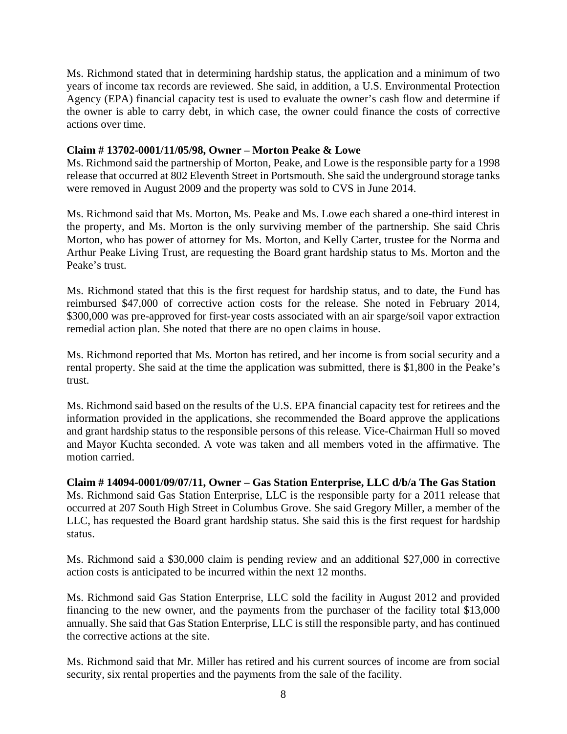Ms. Richmond stated that in determining hardship status, the application and a minimum of two years of income tax records are reviewed. She said, in addition, a U.S. Environmental Protection Agency (EPA) financial capacity test is used to evaluate the owner's cash flow and determine if the owner is able to carry debt, in which case, the owner could finance the costs of corrective actions over time.

## **Claim # 13702-0001/11/05/98, Owner – Morton Peake & Lowe**

Ms. Richmond said the partnership of Morton, Peake, and Lowe is the responsible party for a 1998 release that occurred at 802 Eleventh Street in Portsmouth. She said the underground storage tanks were removed in August 2009 and the property was sold to CVS in June 2014.

Ms. Richmond said that Ms. Morton, Ms. Peake and Ms. Lowe each shared a one-third interest in the property, and Ms. Morton is the only surviving member of the partnership. She said Chris Morton, who has power of attorney for Ms. Morton, and Kelly Carter, trustee for the Norma and Arthur Peake Living Trust, are requesting the Board grant hardship status to Ms. Morton and the Peake's trust.

Ms. Richmond stated that this is the first request for hardship status, and to date, the Fund has reimbursed \$47,000 of corrective action costs for the release. She noted in February 2014, \$300,000 was pre-approved for first-year costs associated with an air sparge/soil vapor extraction remedial action plan. She noted that there are no open claims in house.

Ms. Richmond reported that Ms. Morton has retired, and her income is from social security and a rental property. She said at the time the application was submitted, there is \$1,800 in the Peake's trust.

Ms. Richmond said based on the results of the U.S. EPA financial capacity test for retirees and the information provided in the applications, she recommended the Board approve the applications and grant hardship status to the responsible persons of this release. Vice-Chairman Hull so moved and Mayor Kuchta seconded. A vote was taken and all members voted in the affirmative. The motion carried.

**Claim # 14094-0001/09/07/11, Owner – Gas Station Enterprise, LLC d/b/a The Gas Station**  Ms. Richmond said Gas Station Enterprise, LLC is the responsible party for a 2011 release that occurred at 207 South High Street in Columbus Grove. She said Gregory Miller, a member of the LLC, has requested the Board grant hardship status. She said this is the first request for hardship status.

Ms. Richmond said a \$30,000 claim is pending review and an additional \$27,000 in corrective action costs is anticipated to be incurred within the next 12 months.

Ms. Richmond said Gas Station Enterprise, LLC sold the facility in August 2012 and provided financing to the new owner, and the payments from the purchaser of the facility total \$13,000 annually. She said that Gas Station Enterprise, LLC is still the responsible party, and has continued the corrective actions at the site.

Ms. Richmond said that Mr. Miller has retired and his current sources of income are from social security, six rental properties and the payments from the sale of the facility.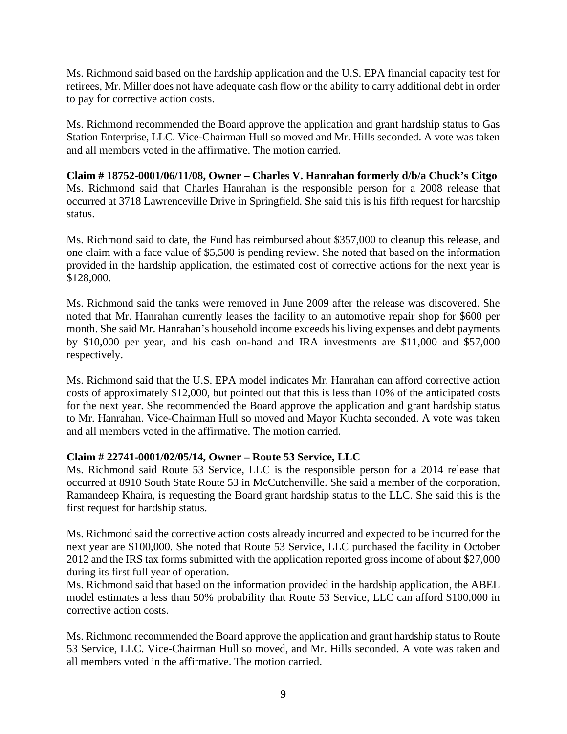Ms. Richmond said based on the hardship application and the U.S. EPA financial capacity test for retirees, Mr. Miller does not have adequate cash flow or the ability to carry additional debt in order to pay for corrective action costs.

Ms. Richmond recommended the Board approve the application and grant hardship status to Gas Station Enterprise, LLC. Vice-Chairman Hull so moved and Mr. Hills seconded. A vote was taken and all members voted in the affirmative. The motion carried.

**Claim # 18752-0001/06/11/08, Owner – Charles V. Hanrahan formerly d/b/a Chuck's Citgo**  Ms. Richmond said that Charles Hanrahan is the responsible person for a 2008 release that occurred at 3718 Lawrenceville Drive in Springfield. She said this is his fifth request for hardship status.

Ms. Richmond said to date, the Fund has reimbursed about \$357,000 to cleanup this release, and one claim with a face value of \$5,500 is pending review. She noted that based on the information provided in the hardship application, the estimated cost of corrective actions for the next year is \$128,000.

Ms. Richmond said the tanks were removed in June 2009 after the release was discovered. She noted that Mr. Hanrahan currently leases the facility to an automotive repair shop for \$600 per month. She said Mr. Hanrahan's household income exceeds his living expenses and debt payments by \$10,000 per year, and his cash on-hand and IRA investments are \$11,000 and \$57,000 respectively.

Ms. Richmond said that the U.S. EPA model indicates Mr. Hanrahan can afford corrective action costs of approximately \$12,000, but pointed out that this is less than 10% of the anticipated costs for the next year. She recommended the Board approve the application and grant hardship status to Mr. Hanrahan. Vice-Chairman Hull so moved and Mayor Kuchta seconded. A vote was taken and all members voted in the affirmative. The motion carried.

# **Claim # 22741-0001/02/05/14, Owner – Route 53 Service, LLC**

Ms. Richmond said Route 53 Service, LLC is the responsible person for a 2014 release that occurred at 8910 South State Route 53 in McCutchenville. She said a member of the corporation, Ramandeep Khaira, is requesting the Board grant hardship status to the LLC. She said this is the first request for hardship status.

Ms. Richmond said the corrective action costs already incurred and expected to be incurred for the next year are \$100,000. She noted that Route 53 Service, LLC purchased the facility in October 2012 and the IRS tax forms submitted with the application reported gross income of about \$27,000 during its first full year of operation.

Ms. Richmond said that based on the information provided in the hardship application, the ABEL model estimates a less than 50% probability that Route 53 Service, LLC can afford \$100,000 in corrective action costs.

Ms. Richmond recommended the Board approve the application and grant hardship status to Route 53 Service, LLC. Vice-Chairman Hull so moved, and Mr. Hills seconded. A vote was taken and all members voted in the affirmative. The motion carried.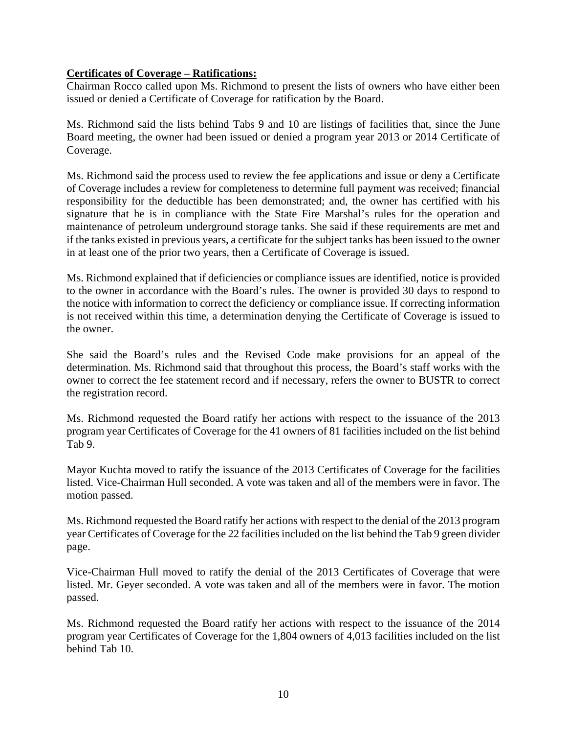## **Certificates of Coverage – Ratifications:**

Chairman Rocco called upon Ms. Richmond to present the lists of owners who have either been issued or denied a Certificate of Coverage for ratification by the Board.

Ms. Richmond said the lists behind Tabs 9 and 10 are listings of facilities that, since the June Board meeting, the owner had been issued or denied a program year 2013 or 2014 Certificate of Coverage.

Ms. Richmond said the process used to review the fee applications and issue or deny a Certificate of Coverage includes a review for completeness to determine full payment was received; financial responsibility for the deductible has been demonstrated; and, the owner has certified with his signature that he is in compliance with the State Fire Marshal's rules for the operation and maintenance of petroleum underground storage tanks. She said if these requirements are met and if the tanks existed in previous years, a certificate for the subject tanks has been issued to the owner in at least one of the prior two years, then a Certificate of Coverage is issued.

Ms. Richmond explained that if deficiencies or compliance issues are identified, notice is provided to the owner in accordance with the Board's rules. The owner is provided 30 days to respond to the notice with information to correct the deficiency or compliance issue. If correcting information is not received within this time, a determination denying the Certificate of Coverage is issued to the owner.

She said the Board's rules and the Revised Code make provisions for an appeal of the determination. Ms. Richmond said that throughout this process, the Board's staff works with the owner to correct the fee statement record and if necessary, refers the owner to BUSTR to correct the registration record.

Ms. Richmond requested the Board ratify her actions with respect to the issuance of the 2013 program year Certificates of Coverage for the 41 owners of 81 facilities included on the list behind Tab 9.

Mayor Kuchta moved to ratify the issuance of the 2013 Certificates of Coverage for the facilities listed. Vice-Chairman Hull seconded. A vote was taken and all of the members were in favor. The motion passed.

Ms. Richmond requested the Board ratify her actions with respect to the denial of the 2013 program year Certificates of Coverage for the 22 facilities included on the list behind the Tab 9 green divider page.

Vice-Chairman Hull moved to ratify the denial of the 2013 Certificates of Coverage that were listed. Mr. Geyer seconded. A vote was taken and all of the members were in favor. The motion passed.

Ms. Richmond requested the Board ratify her actions with respect to the issuance of the 2014 program year Certificates of Coverage for the 1,804 owners of 4,013 facilities included on the list behind Tab 10.